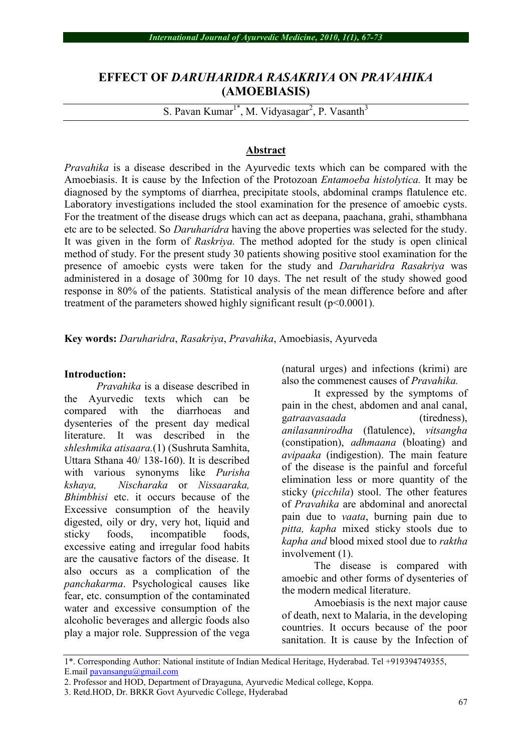# **EFFECT OF** *DARUHARIDRA RASAKRIYA* **ON** *PRAVAHIKA* **(AMOEBIASIS)**

S. Pavan Kumar<sup>1\*</sup>, M. Vidyasagar<sup>2</sup>, P. Vasanth<sup>3</sup>

## **Abstract**

*Pravahika* is a disease described in the Ayurvedic texts which can be compared with the Amoebiasis. It is cause by the Infection of the Protozoan *Entamoeba histolytica.* It may be diagnosed by the symptoms of diarrhea, precipitate stools, abdominal cramps flatulence etc. Laboratory investigations included the stool examination for the presence of amoebic cysts. For the treatment of the disease drugs which can act as deepana, paachana, grahi, sthambhana etc are to be selected. So *Daruharidra* having the above properties was selected for the study. It was given in the form of *Raskriya.* The method adopted for the study is open clinical method of study. For the present study 30 patients showing positive stool examination for the presence of amoebic cysts were taken for the study and *Daruharidra Rasakriya* was administered in a dosage of 300mg for 10 days. The net result of the study showed good response in 80% of the patients. Statistical analysis of the mean difference before and after treatment of the parameters showed highly significant result (p<0.0001).

**Key words:** *Daruharidra*, *Rasakriya*, *Pravahika*, Amoebiasis, Ayurveda

### **Introduction:**

*Pravahika* is a disease described in the Ayurvedic texts which can be compared with the diarrhoeas and dysenteries of the present day medical literature. It was described in the *shleshmika atisaara.*(1) (Sushruta Samhita, Uttara Sthana 40/ 138-160). It is described with various synonyms like *Purisha kshaya, Nischaraka* or *Nissaaraka, Bhimbhisi* etc. it occurs because of the Excessive consumption of the heavily digested, oily or dry, very hot, liquid and sticky foods, incompatible foods, excessive eating and irregular food habits are the causative factors of the disease. It also occurs as a complication of the *panchakarma*. Psychological causes like fear, etc. consumption of the contaminated water and excessive consumption of the alcoholic beverages and allergic foods also play a major role. Suppression of the vega (natural urges) and infections (krimi) are also the commenest causes of *Pravahika.*

It expressed by the symptoms of pain in the chest, abdomen and anal canal, g*atraavasaada* (tiredness), *anilasannirodha* (flatulence), *vitsangha* (constipation), *adhmaana* (bloating) and *avipaaka* (indigestion). The main feature of the disease is the painful and forceful elimination less or more quantity of the sticky (*picchila*) stool. The other features of *Pravahika* are abdominal and anorectal pain due to *vaata*, burning pain due to *pitta, kapha* mixed sticky stools due to *kapha and* blood mixed stool due to *raktha* involvement (1).

The disease is compared with amoebic and other forms of dysenteries of the modern medical literature.

Amoebiasis is the next major cause of death, next to Malaria, in the developing countries. It occurs because of the poor sanitation. It is cause by the Infection of

<sup>1\*.</sup> Corresponding Author: National institute of Indian Medical Heritage, Hyderabad. Tel +919394749355, E.mail pavansangu@gmail.com

<sup>2.</sup> Professor and HOD, Department of Drayaguna, Ayurvedic Medical college, Koppa.

<sup>3.</sup> Retd.HOD, Dr. BRKR Govt Ayurvedic College, Hyderabad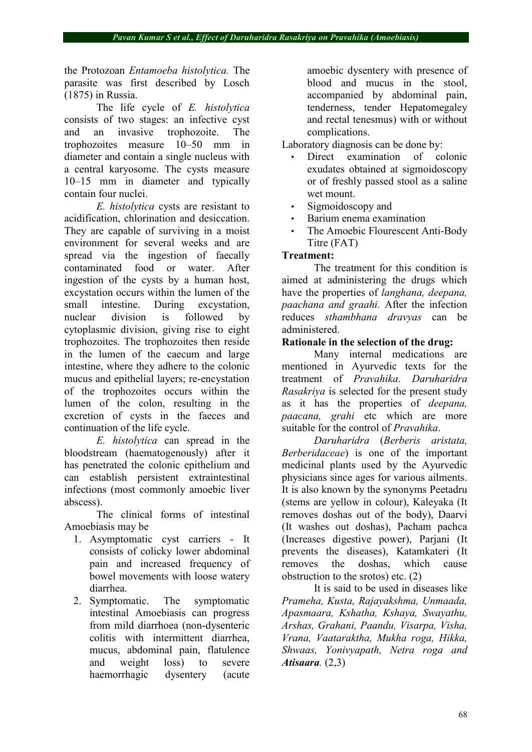the Protozoan *Entamoeba histolytica.* The parasite was first described by Losch (1875) in Russia.

The life cycle of *E. histolytica* consists of two stages: an infective cyst and an invasive trophozoite. The trophozoites measure 10–50 mm in diameter and contain a single nucleus with a central karyosome. The cysts measure 10–15 mm in diameter and typically contain four nuclei.

*E. histolytica* cysts are resistant to acidification, chlorination and desiccation. They are capable of surviving in a moist environment for several weeks and are spread via the ingestion of faecally contaminated food or water. After ingestion of the cysts by a human host, excystation occurs within the lumen of the small intestine. During excystation, nuclear division is followed by cytoplasmic division, giving rise to eight trophozoites. The trophozoites then reside in the lumen of the caecum and large intestine, where they adhere to the colonic mucus and epithelial layers; re-encystation of the trophozoites occurs within the lumen of the colon, resulting in the excretion of cysts in the faeces and continuation of the life cycle.

*E. histolytica* can spread in the bloodstream (haematogenously) after it has penetrated the colonic epithelium and can establish persistent extraintestinal infections (most commonly amoebic liver abscess).

The clinical forms of intestinal Amoebiasis may be

- 1. Asymptomatic cyst carriers It consists of colicky lower abdominal pain and increased frequency of bowel movements with loose watery diarrhea.
- 2. Symptomatic. The symptomatic intestinal Amoebiasis can progress from mild diarrhoea (non-dysenteric colitis with intermittent diarrhea, mucus, abdominal pain, flatulence and weight loss) to severe haemorrhagic dysentery (acute

amoebic dysentery with presence of blood and mucus in the stool, accompanied by abdominal pain, tenderness, tender Hepatomegaley and rectal tenesmus) with or without complications.

Laboratory diagnosis can be done by:

- Direct examination of colonic exudates obtained at sigmoidoscopy or of freshly passed stool as a saline wet mount.
- Sigmoidoscopy and
- Barium enema examination
- The Amoebic Flourescent Anti-Body Titre (FAT)

## **Treatment:**

The treatment for this condition is aimed at administering the drugs which have the properties of *langhana, deepana, paachana and graahi.* After the infection reduces *sthambhana dravyas* can be administered.

## **Rationale in the selection of the drug:**

Many internal medications are mentioned in Ayurvedic texts for the treatment of *Pravahika*. *Daruharidra Rasakriya* is selected for the present study as it has the properties of *deepana, paacana, grahi* etc which are more suitable for the control of *Pravahika*.

*Daruharidra* (*Berberis aristata, Berberidaceae*) is one of the important medicinal plants used by the Ayurvedic physicians since ages for various ailments. It is also known by the synonyms Peetadru (stems are yellow in colour), Kaleyaka (It removes doshas out of the body), Daarvi (It washes out doshas), Pacham pachca (Increases digestive power), Parjani (It prevents the diseases), Katamkateri (It removes the doshas, which cause obstruction to the srotos) etc. (2)

It is said to be used in diseases like *Prameha, Kusta, Rajayakshma, Unmaada, Apasmaara, Kshatha, Kshaya, Swayathu, Arshas, Grahani, Paandu, Visarpa, Visha, Vrana, Vaataraktha, Mukha roga, Hikka, Shwaas, Yonivyapath, Netra roga and Atisaara.* (2,3)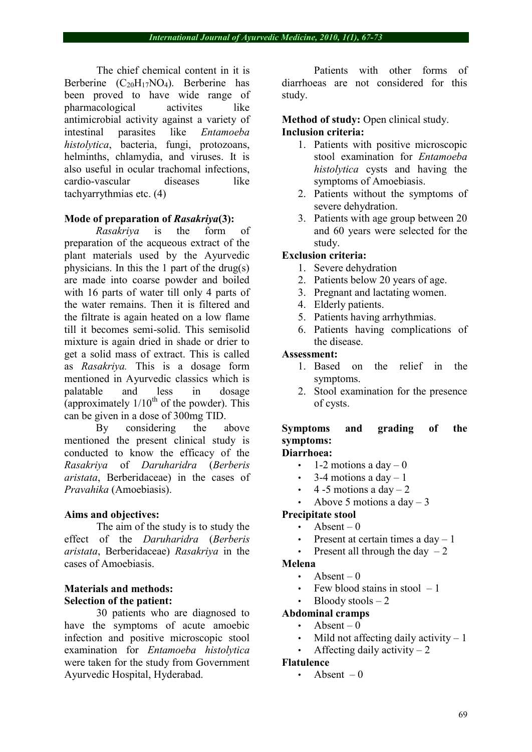The chief chemical content in it is Berberine  $(C_{20}H_{17}NO_4)$ . Berberine has been proved to have wide range of pharmacological activites like antimicrobial activity against a variety of intestinal parasites like *Entamoeba histolytica*, bacteria, fungi, protozoans, helminths, chlamydia, and viruses. It is also useful in ocular trachomal infections, cardio-vascular diseases like tachyarrythmias etc. (4)

## **Mode of preparation of** *Rasakriya***(3):**

*Rasakriya* is the form of preparation of the acqueous extract of the plant materials used by the Ayurvedic physicians. In this the 1 part of the drug(s) are made into coarse powder and boiled with 16 parts of water till only 4 parts of the water remains. Then it is filtered and the filtrate is again heated on a low flame till it becomes semi-solid. This semisolid mixture is again dried in shade or drier to get a solid mass of extract. This is called as *Rasakriya.* This is a dosage form mentioned in Ayurvedic classics which is palatable and less in dosage (approximately  $1/10^{th}$  of the powder). This can be given in a dose of 300mg TID.

By considering the above mentioned the present clinical study is conducted to know the efficacy of the *Rasakriya* of *Daruharidra* (*Berberis aristata*, Berberidaceae) in the cases of *Pravahika* (Amoebiasis).

## **Aims and objectives:**

The aim of the study is to study the effect of the *Daruharidra* (*Berberis aristata*, Berberidaceae) *Rasakriya* in the cases of Amoebiasis.

## **Materials and methods: Selection of the patient:**

30 patients who are diagnosed to have the symptoms of acute amoebic infection and positive microscopic stool examination for *Entamoeba histolytica* were taken for the study from Government Ayurvedic Hospital, Hyderabad.

Patients with other forms of diarrhoeas are not considered for this study.

## **Method of study:** Open clinical study. **Inclusion criteria:**

- 1. Patients with positive microscopic stool examination for *Entamoeba histolytica* cysts and having the symptoms of Amoebiasis.
- 2. Patients without the symptoms of severe dehydration.
- 3. Patients with age group between 20 and 60 years were selected for the study.

## **Exclusion criteria:**

- 1. Severe dehydration
- 2. Patients below 20 years of age.
- 3. Pregnant and lactating women.
- 4. Elderly patients.
- 5. Patients having arrhythmias.
- 6. Patients having complications of the disease.

## **Assessment:**

- 1. Based on the relief in the symptoms.
- 2. Stool examination for the presence of cysts.

# **Symptoms and grading of the symptoms:**

# **Diarrhoea:**

- 1-2 motions a day  $-0$
- $\cdot$  3-4 motions a day 1
- $\cdot$  4 -5 motions a day 2
- Above 5 motions a  $day 3$

## **Precipitate stool**

- Absent  $-0$
- Present at certain times a  $day 1$
- Present all through the day  $-2$

## **Melena**

- Absent  $-0$
- Few blood stains in stool  $-1$
- $B$ loody stools  $-2$

## **Abdominal cramps**

- Absent  $-0$
- Mild not affecting daily activity  $-1$
- Affecting daily activity  $-2$

### **Flatulence**

Absent  $-0$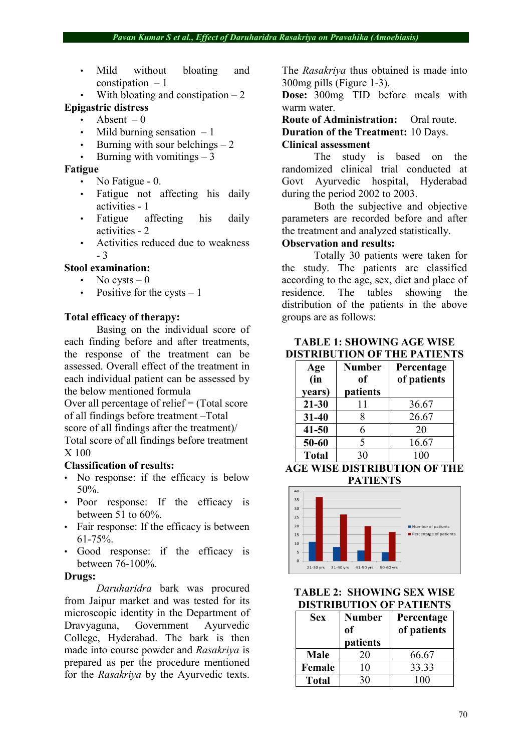- Mild without bloating and constipation  $-1$
- With bloating and constipation  $-2$

## **Epigastric distress**

- Absent  $-0$
- Mild burning sensation  $-1$
- Burning with sour belchings  $-2$
- Burning with vomitings  $-3$

### **Fatigue**

- No Fatigue 0.
- Fatigue not affecting his daily activities - 1
- Fatigue affecting his daily activities - 2
- Activities reduced due to weakness - 3

### **Stool examination:**

- No cysts  $-0$
- Positive for the cysts  $-1$

## **Total efficacy of therapy:**

Basing on the individual score of each finding before and after treatments, the response of the treatment can be assessed. Overall effect of the treatment in each individual patient can be assessed by the below mentioned formula

Over all percentage of relief = (Total score of all findings before treatment –Total score of all findings after the treatment)/ Total score of all findings before treatment X 100

### **Classification of results:**

- No response: if the efficacy is below 50%.
- Poor response: If the efficacy is between 51 to 60%.
- Fair response: If the efficacy is between 61-75%.
- Good response: if the efficacy is between 76-100%.

## **Drugs:**

*Daruharidra* bark was procured from Jaipur market and was tested for its microscopic identity in the Department of Dravyaguna, Government Ayurvedic College, Hyderabad. The bark is then made into course powder and *Rasakriya* is prepared as per the procedure mentioned for the *Rasakriya* by the Ayurvedic texts.

The *Rasakriya* thus obtained is made into 300mg pills (Figure 1-3).

**Dose:** 300mg TID before meals with warm water.

**Route of Administration:** Oral route.

**Duration of the Treatment:** 10 Days.

## **Clinical assessment**

The study is based on the randomized clinical trial conducted at Govt Ayurvedic hospital, Hyderabad during the period 2002 to 2003.

Both the subjective and objective parameters are recorded before and after the treatment and analyzed statistically.

## **Observation and results:**

Totally 30 patients were taken for the study. The patients are classified according to the age, sex, diet and place of residence. The tables showing the distribution of the patients in the above groups are as follows:

## **TABLE 1: SHOWING AGE WISE DISTRIBUTION OF THE PATIENTS**

| Age          | <b>Number</b> | Percentage  |  |  |  |  |
|--------------|---------------|-------------|--|--|--|--|
| (in          | of            | of patients |  |  |  |  |
| years)       | patients      |             |  |  |  |  |
| $21 - 30$    | 11            | 36.67       |  |  |  |  |
| $31 - 40$    |               | 26.67       |  |  |  |  |
| $41 - 50$    | 6             | 20          |  |  |  |  |
| 50-60        | 5             | 16.67       |  |  |  |  |
| <b>Total</b> | 30            | 100         |  |  |  |  |

### **AGE WISE DISTRIBUTION OF THE PATIENTS**



## **TABLE 2: SHOWING SEX WISE DISTRIBUTION OF PATIENTS**

| <b>Sex</b> | <b>Number</b> | Percentage  |  |  |  |
|------------|---------------|-------------|--|--|--|
|            | of            | of patients |  |  |  |
|            | patients      |             |  |  |  |
| Male       | 20            | 66.67       |  |  |  |
| Female     | 10            | 33.33       |  |  |  |
| Total      | 30            | 100         |  |  |  |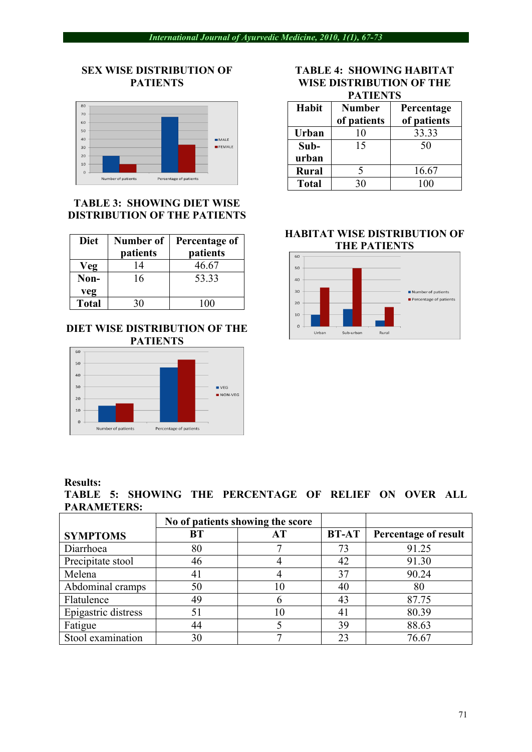## **SEX WISE DISTRIBUTION OF PATIENTS**



## **TABLE 3: SHOWING DIET WISE DISTRIBUTION OF THE PATIENTS**

| <b>Diet</b>  | <b>Number of</b><br>patients | Percentage of<br>patients |  |  |  |  |
|--------------|------------------------------|---------------------------|--|--|--|--|
| Veg          | 14                           | 46.67                     |  |  |  |  |
| Non-         | 16                           | 53.33                     |  |  |  |  |
| veg          |                              |                           |  |  |  |  |
| <b>Total</b> | 30                           | 100                       |  |  |  |  |

## **DIET WISE DISTRIBUTION OF THE PATIENTS**



#### **Results:**

**TABLE 5: SHOWING THE PERCENTAGE OF RELIEF ON OVER ALL PARAMETERS:**

|                     |                 | No of patients showing the score |              |                             |  |
|---------------------|-----------------|----------------------------------|--------------|-----------------------------|--|
| <b>SYMPTOMS</b>     | <b>BT</b><br>AT |                                  | <b>BT-AT</b> | <b>Percentage of result</b> |  |
| Diarrhoea           | 80              |                                  | 73           | 91.25                       |  |
| Precipitate stool   | 46              |                                  | 42           | 91.30                       |  |
| Melena              |                 |                                  | 37           | 90.24                       |  |
| Abdominal cramps    | 50              | 10                               | 40           | 80                          |  |
| Flatulence          | 49              |                                  | 43           | 87.75                       |  |
| Epigastric distress | 51              | 10                               |              | 80.39                       |  |
| Fatigue             | 44              |                                  | 39           | 88.63                       |  |
| Stool examination   | 30              |                                  | 23           | 76.67                       |  |

#### **TABLE 4: SHOWING HABITAT WISE DISTRIBUTION OF THE PATIENTS**

| 1 / 1 1 1 1 1 1 V |               |             |  |  |  |  |  |
|-------------------|---------------|-------------|--|--|--|--|--|
| Habit             | <b>Number</b> | Percentage  |  |  |  |  |  |
|                   | of patients   | of patients |  |  |  |  |  |
| Urban             | 10            | 33.33       |  |  |  |  |  |
| Sub-              | 15            | 50          |  |  |  |  |  |
| urban             |               |             |  |  |  |  |  |
| <b>Rural</b>      |               | 16.67       |  |  |  |  |  |
| <b>Total</b>      | 30            | 100         |  |  |  |  |  |

## **HABITAT WISE DISTRIBUTION OF THE PATIENTS**

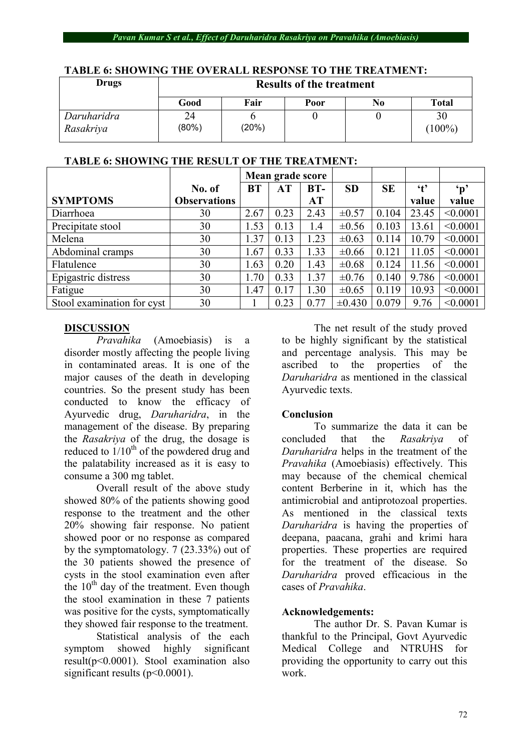#### *Pavan Kumar S et al., Effect of Daruharidra Rasakriya on Pravahika (Amoebiasis)*

| <b>Drugs</b>             | <b>Results of the treatment</b> |       |      |    |                 |  |
|--------------------------|---------------------------------|-------|------|----|-----------------|--|
|                          | Good                            | Fair  | Poor | No | <b>Total</b>    |  |
| Daruharidra<br>Rasakriya | 24<br>$(80\%)$                  | (20%) |      |    | 30<br>$(100\%)$ |  |

## **TABLE 6: SHOWING THE OVERALL RESPONSE TO THE TREATMENT:**

## **TABLE 6: SHOWING THE RESULT OF THE TREATMENT:**

|                            |                     | Mean grade score |      |       |            |           |              |               |
|----------------------------|---------------------|------------------|------|-------|------------|-----------|--------------|---------------|
|                            | No. of              | <b>BT</b>        | AT   | $BT-$ | <b>SD</b>  | <b>SE</b> | $\mathbf{t}$ | $\mathbf{p}'$ |
| <b>SYMPTOMS</b>            | <b>Observations</b> |                  |      | AT    |            |           | value        | value         |
| Diarrhoea                  | 30                  | 2.67             | 0.23 | 2.43  | $\pm 0.57$ | 0.104     | 23.45        | < 0.0001      |
| Precipitate stool          | 30                  | 1.53             | 0.13 | 1.4   | $\pm 0.56$ | 0.103     | 13.61        | < 0.0001      |
| Melena                     | 30                  | 1.37             | 0.13 | 1.23  | $\pm 0.63$ | 0.114     | 10.79        | < 0.0001      |
| Abdominal cramps           | 30                  | 1.67             | 0.33 | 1.33  | $\pm 0.66$ | 0.121     | 11.05        | < 0.0001      |
| Flatulence                 | 30                  | 1.63             | 0.20 | 1.43  | $\pm 0.68$ | 0.124     | 11.56        | < 0.0001      |
| Epigastric distress        | 30                  | 1.70             | 0.33 | 1.37  | $\pm 0.76$ | 0.140     | 9.786        | < 0.0001      |
| Fatigue                    | 30                  | 1.47             | 0.17 | 1.30  | $\pm 0.65$ | 0.119     | 10.93        | < 0.0001      |
| Stool examination for cyst | 30                  |                  | 0.23 | 0.77  | ±0.430     | 0.079     | 9.76         | < 0.0001      |

## **DISCUSSION**

*Pravahika* (Amoebiasis) is a disorder mostly affecting the people living in contaminated areas. It is one of the major causes of the death in developing countries. So the present study has been conducted to know the efficacy of Ayurvedic drug, *Daruharidra*, in the management of the disease. By preparing the *Rasakriya* of the drug, the dosage is reduced to  $1/10^{th}$  of the powdered drug and the palatability increased as it is easy to consume a 300 mg tablet.

Overall result of the above study showed 80% of the patients showing good response to the treatment and the other 20% showing fair response. No patient showed poor or no response as compared by the symptomatology. 7 (23.33%) out of the 30 patients showed the presence of cysts in the stool examination even after the  $10<sup>th</sup>$  day of the treatment. Even though the stool examination in these 7 patients was positive for the cysts, symptomatically they showed fair response to the treatment.

Statistical analysis of the each symptom showed highly significant result(p<0.0001). Stool examination also significant results ( $p<0.0001$ ).

The net result of the study proved to be highly significant by the statistical and percentage analysis. This may be ascribed to the properties of the *Daruharidra* as mentioned in the classical Ayurvedic texts.

## **Conclusion**

To summarize the data it can be concluded that the *Rasakriya* of *Daruharidra* helps in the treatment of the *Pravahika* (Amoebiasis) effectively. This may because of the chemical chemical content Berberine in it, which has the antimicrobial and antiprotozoal properties. As mentioned in the classical texts *Daruharidra* is having the properties of deepana, paacana, grahi and krimi hara properties. These properties are required for the treatment of the disease. So *Daruharidra* proved efficacious in the cases of *Pravahika*.

## **Acknowledgements:**

The author Dr. S. Pavan Kumar is thankful to the Principal, Govt Ayurvedic Medical College and NTRUHS for providing the opportunity to carry out this work.